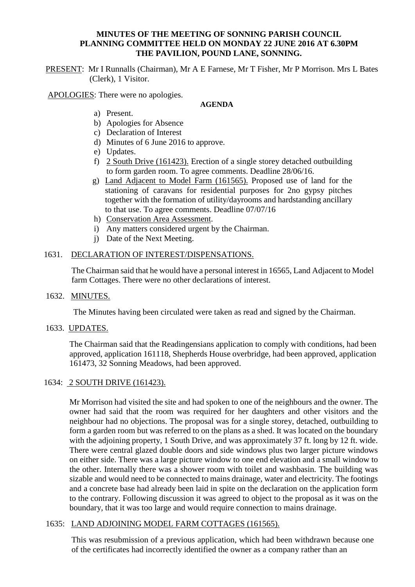#### **MINUTES OF THE MEETING OF SONNING PARISH COUNCIL PLANNING COMMITTEE HELD ON MONDAY 22 JUNE 2016 AT 6.30PM THE PAVILION, POUND LANE, SONNING.**

PRESENT: Mr I Runnalls (Chairman), Mr A E Farnese, Mr T Fisher, Mr P Morrison. Mrs L Bates (Clerk), 1 Visitor.

APOLOGIES: There were no apologies.

### **AGENDA**

- a) Present.
- b) Apologies for Absence
- c) Declaration of Interest
- d) Minutes of 6 June 2016 to approve.
- e) Updates.
- f) 2 South Drive (161423). Erection of a single storey detached outbuilding to form garden room. To agree comments. Deadline 28/06/16.
- g) Land Adjacent to Model Farm (161565). Proposed use of land for the stationing of caravans for residential purposes for 2no gypsy pitches together with the formation of utility/dayrooms and hardstanding ancillary to that use. To agree comments. Deadline 07/07/16
- h) Conservation Area Assessment.
- i) Any matters considered urgent by the Chairman.
- j) Date of the Next Meeting.

### 1631. DECLARATION OF INTEREST/DISPENSATIONS.

The Chairman said that he would have a personal interest in 16565, Land Adjacent to Model farm Cottages. There were no other declarations of interest.

#### 1632. MINUTES.

The Minutes having been circulated were taken as read and signed by the Chairman.

#### 1633. UPDATES.

The Chairman said that the Readingensians application to comply with conditions, had been approved, application 161118, Shepherds House overbridge, had been approved, application 161473, 32 Sonning Meadows, had been approved.

#### 1634: 2 SOUTH DRIVE (161423).

Mr Morrison had visited the site and had spoken to one of the neighbours and the owner. The owner had said that the room was required for her daughters and other visitors and the neighbour had no objections. The proposal was for a single storey, detached, outbuilding to form a garden room but was referred to on the plans as a shed. It was located on the boundary with the adjoining property, 1 South Drive, and was approximately 37 ft. long by 12 ft. wide. There were central glazed double doors and side windows plus two larger picture windows on either side. There was a large picture window to one end elevation and a small window to the other. Internally there was a shower room with toilet and washbasin. The building was sizable and would need to be connected to mains drainage, water and electricity. The footings and a concrete base had already been laid in spite on the declaration on the application form to the contrary. Following discussion it was agreed to object to the proposal as it was on the boundary, that it was too large and would require connection to mains drainage.

# 1635: LAND ADJOINING MODEL FARM COTTAGES (161565).

This was resubmission of a previous application, which had been withdrawn because one of the certificates had incorrectly identified the owner as a company rather than an